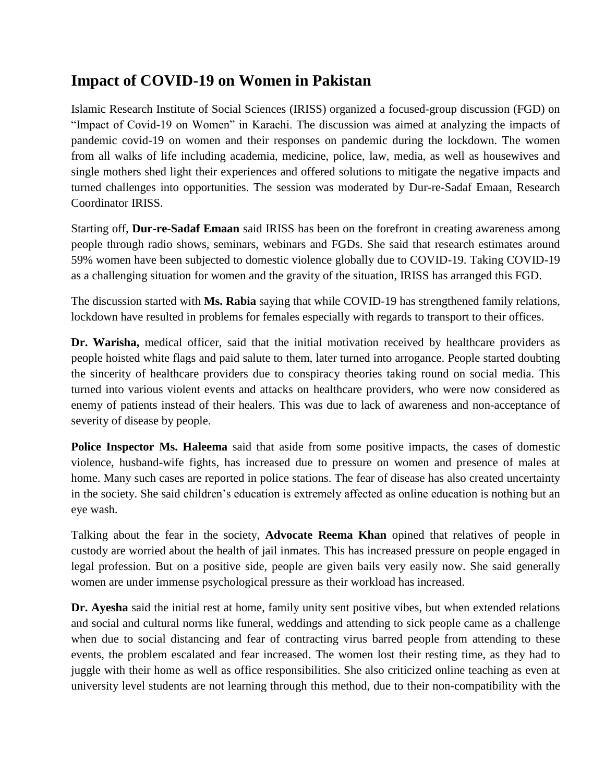## **Impact of COVID-19 on Women in Pakistan**

Islamic Research Institute of Social Sciences (IRISS) organized a focused-group discussion (FGD) on "Impact of Covid-19 on Women" in Karachi. The discussion was aimed at analyzing the impacts of pandemic covid-19 on women and their responses on pandemic during the lockdown. The women from all walks of life including academia, medicine, police, law, media, as well as housewives and single mothers shed light their experiences and offered solutions to mitigate the negative impacts and turned challenges into opportunities. The session was moderated by Dur-re-Sadaf Emaan, Research Coordinator IRISS.

Starting off, **Dur-re-Sadaf Emaan** said IRISS has been on the forefront in creating awareness among people through radio shows, seminars, webinars and FGDs. She said that research estimates around 59% women have been subjected to domestic violence globally due to COVID-19. Taking COVID-19 as a challenging situation for women and the gravity of the situation, IRISS has arranged this FGD.

The discussion started with **Ms. Rabia** saying that while COVID-19 has strengthened family relations, lockdown have resulted in problems for females especially with regards to transport to their offices.

**Dr. Warisha,** medical officer, said that the initial motivation received by healthcare providers as people hoisted white flags and paid salute to them, later turned into arrogance. People started doubting the sincerity of healthcare providers due to conspiracy theories taking round on social media. This turned into various violent events and attacks on healthcare providers, who were now considered as enemy of patients instead of their healers. This was due to lack of awareness and non-acceptance of severity of disease by people.

**Police Inspector Ms. Haleema** said that aside from some positive impacts, the cases of domestic violence, husband-wife fights, has increased due to pressure on women and presence of males at home. Many such cases are reported in police stations. The fear of disease has also created uncertainty in the society. She said children's education is extremely affected as online education is nothing but an eye wash.

Talking about the fear in the society, **Advocate Reema Khan** opined that relatives of people in custody are worried about the health of jail inmates. This has increased pressure on people engaged in legal profession. But on a positive side, people are given bails very easily now. She said generally women are under immense psychological pressure as their workload has increased.

**Dr. Ayesha** said the initial rest at home, family unity sent positive vibes, but when extended relations and social and cultural norms like funeral, weddings and attending to sick people came as a challenge when due to social distancing and fear of contracting virus barred people from attending to these events, the problem escalated and fear increased. The women lost their resting time, as they had to juggle with their home as well as office responsibilities. She also criticized online teaching as even at university level students are not learning through this method, due to their non-compatibility with the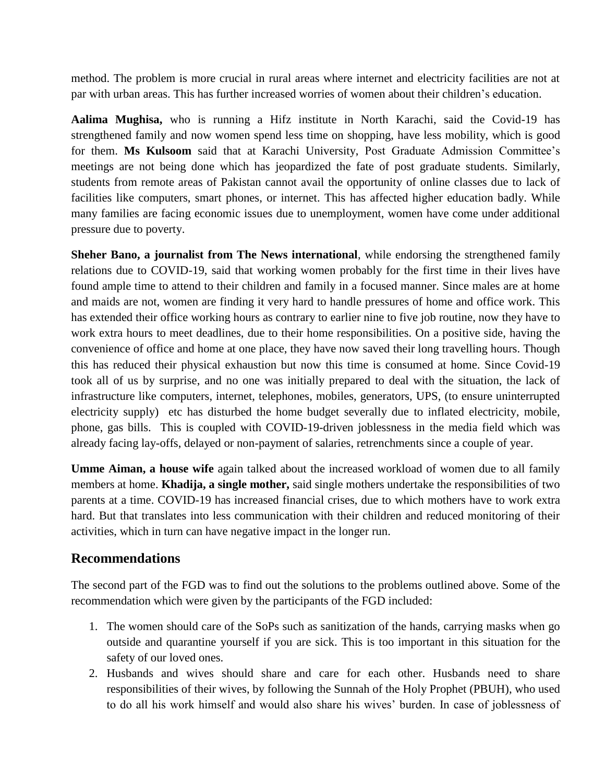method. The problem is more crucial in rural areas where internet and electricity facilities are not at par with urban areas. This has further increased worries of women about their children's education.

**Aalima Mughisa,** who is running a Hifz institute in North Karachi, said the Covid-19 has strengthened family and now women spend less time on shopping, have less mobility, which is good for them. **Ms Kulsoom** said that at Karachi University, Post Graduate Admission Committee's meetings are not being done which has jeopardized the fate of post graduate students. Similarly, students from remote areas of Pakistan cannot avail the opportunity of online classes due to lack of facilities like computers, smart phones, or internet. This has affected higher education badly. While many families are facing economic issues due to unemployment, women have come under additional pressure due to poverty.

**Sheher Bano, a journalist from The News international**, while endorsing the strengthened family relations due to COVID-19, said that working women probably for the first time in their lives have found ample time to attend to their children and family in a focused manner. Since males are at home and maids are not, women are finding it very hard to handle pressures of home and office work. This has extended their office working hours as contrary to earlier nine to five job routine, now they have to work extra hours to meet deadlines, due to their home responsibilities. On a positive side, having the convenience of office and home at one place, they have now saved their long travelling hours. Though this has reduced their physical exhaustion but now this time is consumed at home. Since Covid-19 took all of us by surprise, and no one was initially prepared to deal with the situation, the lack of infrastructure like computers, internet, telephones, mobiles, generators, UPS, (to ensure uninterrupted electricity supply) etc has disturbed the home budget severally due to inflated electricity, mobile, phone, gas bills. This is coupled with COVID-19-driven joblessness in the media field which was already facing lay-offs, delayed or non-payment of salaries, retrenchments since a couple of year.

**Umme Aiman, a house wife** again talked about the increased workload of women due to all family members at home. **Khadija, a single mother,** said single mothers undertake the responsibilities of two parents at a time. COVID-19 has increased financial crises, due to which mothers have to work extra hard. But that translates into less communication with their children and reduced monitoring of their activities, which in turn can have negative impact in the longer run.

## **Recommendations**

The second part of the FGD was to find out the solutions to the problems outlined above. Some of the recommendation which were given by the participants of the FGD included:

- 1. The women should care of the SoPs such as sanitization of the hands, carrying masks when go outside and quarantine yourself if you are sick. This is too important in this situation for the safety of our loved ones.
- 2. Husbands and wives should share and care for each other. Husbands need to share responsibilities of their wives, by following the Sunnah of the Holy Prophet (PBUH), who used to do all his work himself and would also share his wives' burden. In case of joblessness of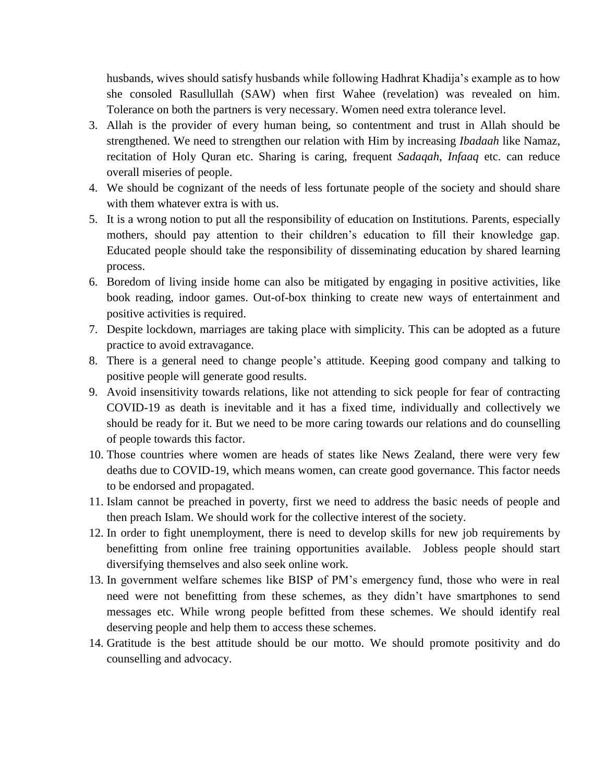husbands, wives should satisfy husbands while following Hadhrat Khadija's example as to how she consoled Rasullullah (SAW) when first Wahee (revelation) was revealed on him. Tolerance on both the partners is very necessary. Women need extra tolerance level.

- 3. Allah is the provider of every human being, so contentment and trust in Allah should be strengthened. We need to strengthen our relation with Him by increasing *Ibadaah* like Namaz, recitation of Holy Quran etc. Sharing is caring, frequent *Sadaqah*, *Infaaq* etc. can reduce overall miseries of people.
- 4. We should be cognizant of the needs of less fortunate people of the society and should share with them whatever extra is with us.
- 5. It is a wrong notion to put all the responsibility of education on Institutions. Parents, especially mothers, should pay attention to their children's education to fill their knowledge gap. Educated people should take the responsibility of disseminating education by shared learning process.
- 6. Boredom of living inside home can also be mitigated by engaging in positive activities, like book reading, indoor games. Out-of-box thinking to create new ways of entertainment and positive activities is required.
- 7. Despite lockdown, marriages are taking place with simplicity. This can be adopted as a future practice to avoid extravagance.
- 8. There is a general need to change people's attitude. Keeping good company and talking to positive people will generate good results.
- 9. Avoid insensitivity towards relations, like not attending to sick people for fear of contracting COVID-19 as death is inevitable and it has a fixed time, individually and collectively we should be ready for it. But we need to be more caring towards our relations and do counselling of people towards this factor.
- 10. Those countries where women are heads of states like News Zealand, there were very few deaths due to COVID-19, which means women, can create good governance. This factor needs to be endorsed and propagated.
- 11. Islam cannot be preached in poverty, first we need to address the basic needs of people and then preach Islam. We should work for the collective interest of the society.
- 12. In order to fight unemployment, there is need to develop skills for new job requirements by benefitting from online free training opportunities available. Jobless people should start diversifying themselves and also seek online work.
- 13. In government welfare schemes like BISP of PM's emergency fund, those who were in real need were not benefitting from these schemes, as they didn't have smartphones to send messages etc. While wrong people befitted from these schemes. We should identify real deserving people and help them to access these schemes.
- 14. Gratitude is the best attitude should be our motto. We should promote positivity and do counselling and advocacy.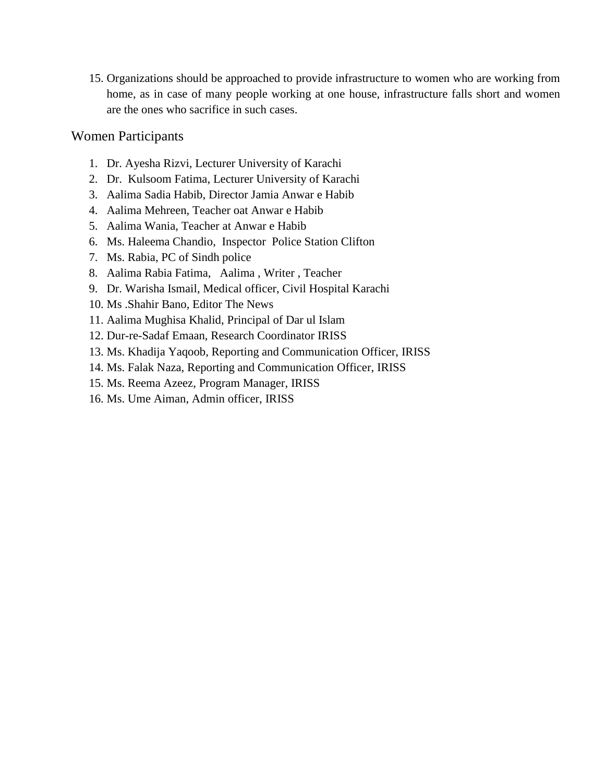15. Organizations should be approached to provide infrastructure to women who are working from home, as in case of many people working at one house, infrastructure falls short and women are the ones who sacrifice in such cases.

## Women Participants

- 1. Dr. Ayesha Rizvi, Lecturer University of Karachi
- 2. Dr. Kulsoom Fatima, Lecturer University of Karachi
- 3. Aalima Sadia Habib, Director Jamia Anwar e Habib
- 4. Aalima Mehreen, Teacher oat Anwar e Habib
- 5. Aalima Wania, Teacher at Anwar e Habib
- 6. Ms. Haleema Chandio, Inspector Police Station Clifton
- 7. Ms. Rabia, PC of Sindh police
- 8. Aalima Rabia Fatima, Aalima , Writer , Teacher
- 9. Dr. Warisha Ismail, Medical officer, Civil Hospital Karachi
- 10. Ms .Shahir Bano, Editor The News
- 11. Aalima Mughisa Khalid, Principal of Dar ul Islam
- 12. Dur-re-Sadaf Emaan, Research Coordinator IRISS
- 13. Ms. Khadija Yaqoob, Reporting and Communication Officer, IRISS
- 14. Ms. Falak Naza, Reporting and Communication Officer, IRISS
- 15. Ms. Reema Azeez, Program Manager, IRISS
- 16. Ms. Ume Aiman, Admin officer, IRISS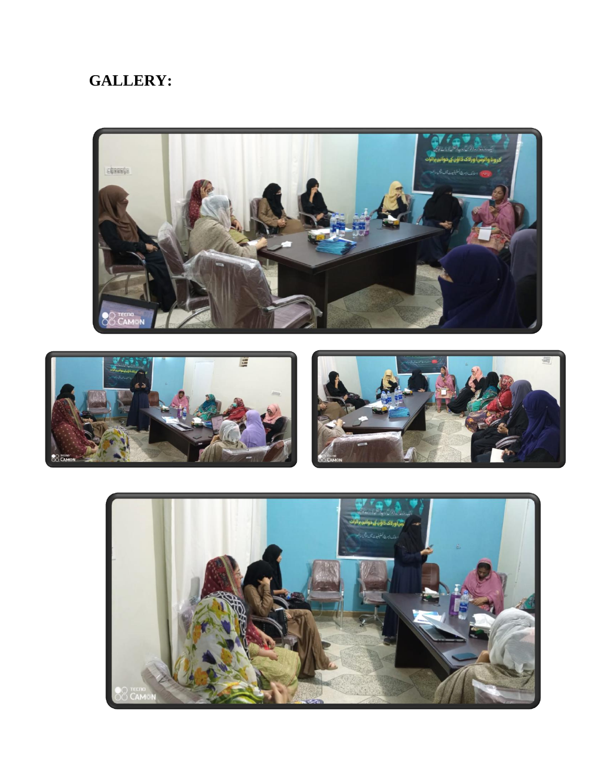## **GALLERY:**